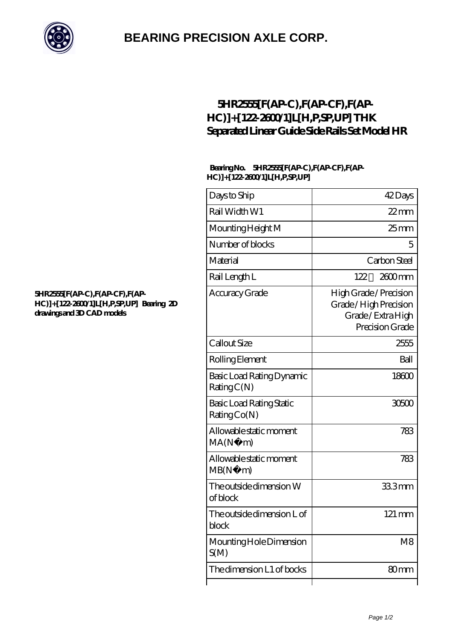

## **[BEARING PRECISION AXLE CORP.](https://italyhotelstravel.com)**

### **[5HR2555\[F\(AP-C\),F\(AP-CF\),F\(AP-](https://italyhotelstravel.com/thk-linear-motion/5hr2555-f-ap-c-f-ap-cf-f-ap-hc-122-2600-1-l-h-p-sp-up.html)[HC\)\]+\[122-2600/1\]L\[H,P,SP,UP\] THK](https://italyhotelstravel.com/thk-linear-motion/5hr2555-f-ap-c-f-ap-cf-f-ap-hc-122-2600-1-l-h-p-sp-up.html) [Separated Linear Guide Side Rails Set Model HR](https://italyhotelstravel.com/thk-linear-motion/5hr2555-f-ap-c-f-ap-cf-f-ap-hc-122-2600-1-l-h-p-sp-up.html)**

#### **Bearing No. 5HR2555[F(AP-C),F(AP-CF),F(AP-HC)]+[122-2600/1]L[H,P,SP,UP]**

| Days to Ship                            | 42Days                                                                               |
|-----------------------------------------|--------------------------------------------------------------------------------------|
| Rail Width W1                           | $22$ mm                                                                              |
| Mounting Height M                       | 25 <sub>mm</sub>                                                                     |
| Number of blocks                        | 5                                                                                    |
| Material                                | Carbon Steel                                                                         |
| Rail Length L                           | 122<br>$2600$ mm                                                                     |
| Accuracy Grade                          | High Grade / Precision<br>Grade/High Precision<br>Grade/ExtraHigh<br>Precision Grade |
| Callout Size                            | 2555                                                                                 |
| Rolling Element                         | Ball                                                                                 |
| Basic Load Rating Dynamic<br>RatingC(N) | 18600                                                                                |
| Basic Load Rating Static<br>RatingCo(N) | 30500                                                                                |
| Allowable static moment<br>MA(N·)<br>m) | 783                                                                                  |
| Allowable static moment<br>MB(N)<br>m)  | 783                                                                                  |
| The outside dimension W<br>of block     | 333mm                                                                                |
| The outside dimension L of<br>block     | 121 mm                                                                               |
| Mounting Hole Dimension<br>S(M)         | M <sub>8</sub>                                                                       |
| The dimension L1 of bocks               | 80 <sub>mm</sub>                                                                     |
|                                         |                                                                                      |

#### **[5HR2555\[F\(AP-C\),F\(AP-CF\),F\(AP-](https://italyhotelstravel.com/pic-616751.html)[HC\)\]+\[122-2600/1\]L\[H,P,SP,UP\] Bearing 2D](https://italyhotelstravel.com/pic-616751.html) [drawings and 3D CAD models](https://italyhotelstravel.com/pic-616751.html)**